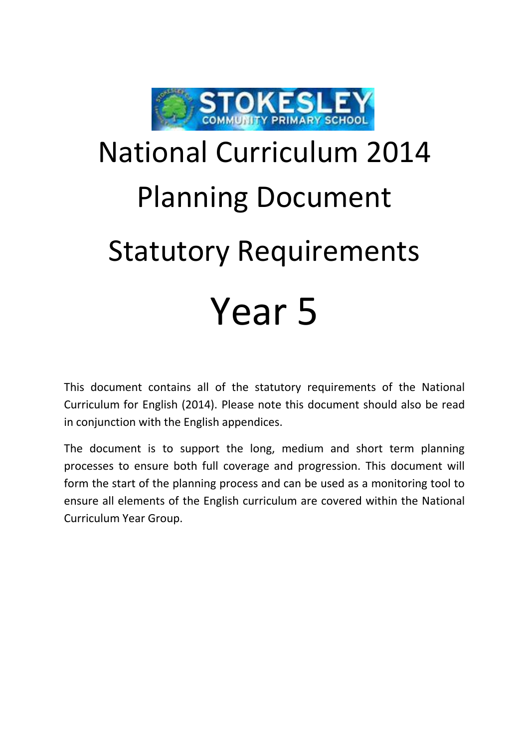

## National Curriculum 2014 Planning Document Statutory Requirements Year 5

This document contains all of the statutory requirements of the National Curriculum for English (2014). Please note this document should also be read in conjunction with the English appendices.

The document is to support the long, medium and short term planning processes to ensure both full coverage and progression. This document will form the start of the planning process and can be used as a monitoring tool to ensure all elements of the English curriculum are covered within the National Curriculum Year Group.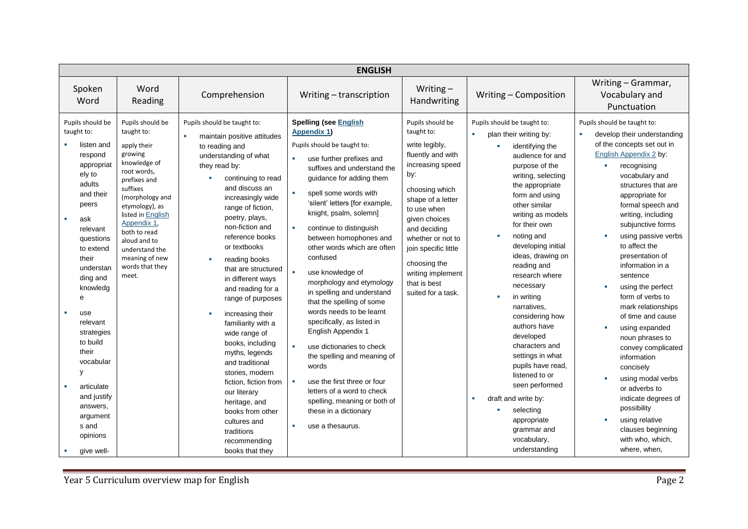| <b>ENGLISH</b>                                                                                                                                                                                                                                                                                                                                                                        |                                                                                                                                                                                                                                                                                              |                                                                                                                                                                                                                                                                                                                                                                                                                                                                                                                                                                                                                                                                               |                                                                                                                                                                                                                                                                                                                                                                                                                                                                                                                                                                                                                                                                                                                                                                                              |                                                                                                                                                                                                                                                                                                                 |                                                                                                                                                                                                                                                                                                                                                                                                                                                                                                                                                                                                                                  |                                                                                                                                                                                                                                                                                                                                                                                                                                                                                                                                                                                                                                                                                            |  |
|---------------------------------------------------------------------------------------------------------------------------------------------------------------------------------------------------------------------------------------------------------------------------------------------------------------------------------------------------------------------------------------|----------------------------------------------------------------------------------------------------------------------------------------------------------------------------------------------------------------------------------------------------------------------------------------------|-------------------------------------------------------------------------------------------------------------------------------------------------------------------------------------------------------------------------------------------------------------------------------------------------------------------------------------------------------------------------------------------------------------------------------------------------------------------------------------------------------------------------------------------------------------------------------------------------------------------------------------------------------------------------------|----------------------------------------------------------------------------------------------------------------------------------------------------------------------------------------------------------------------------------------------------------------------------------------------------------------------------------------------------------------------------------------------------------------------------------------------------------------------------------------------------------------------------------------------------------------------------------------------------------------------------------------------------------------------------------------------------------------------------------------------------------------------------------------------|-----------------------------------------------------------------------------------------------------------------------------------------------------------------------------------------------------------------------------------------------------------------------------------------------------------------|----------------------------------------------------------------------------------------------------------------------------------------------------------------------------------------------------------------------------------------------------------------------------------------------------------------------------------------------------------------------------------------------------------------------------------------------------------------------------------------------------------------------------------------------------------------------------------------------------------------------------------|--------------------------------------------------------------------------------------------------------------------------------------------------------------------------------------------------------------------------------------------------------------------------------------------------------------------------------------------------------------------------------------------------------------------------------------------------------------------------------------------------------------------------------------------------------------------------------------------------------------------------------------------------------------------------------------------|--|
| Spoken<br>Word                                                                                                                                                                                                                                                                                                                                                                        | Word<br>Reading                                                                                                                                                                                                                                                                              | Comprehension                                                                                                                                                                                                                                                                                                                                                                                                                                                                                                                                                                                                                                                                 | Writing - transcription                                                                                                                                                                                                                                                                                                                                                                                                                                                                                                                                                                                                                                                                                                                                                                      | Writing $-$<br>Handwriting                                                                                                                                                                                                                                                                                      | Writing - Composition                                                                                                                                                                                                                                                                                                                                                                                                                                                                                                                                                                                                            | Writing - Grammar,<br>Vocabulary and<br>Punctuation                                                                                                                                                                                                                                                                                                                                                                                                                                                                                                                                                                                                                                        |  |
| Pupils should be<br>taught to:<br>listen and<br>respond<br>appropriat<br>ely to<br>adults<br>and their<br>peers<br>ask<br>×.<br>relevant<br>questions<br>to extend<br>their<br>understan<br>ding and<br>knowledg<br>e<br>use<br>relevant<br>strategies<br>to build<br>their<br>vocabular<br>У<br>articulate<br>and justify<br>answers,<br>argument<br>s and<br>opinions<br>give well- | Pupils should be<br>taught to:<br>apply their<br>growing<br>knowledge of<br>root words,<br>prefixes and<br>suffixes<br>(morphology and<br>etymology), as<br>listed in English<br>Appendix 1,<br>both to read<br>aloud and to<br>understand the<br>meaning of new<br>words that they<br>meet. | Pupils should be taught to:<br>maintain positive attitudes<br>to reading and<br>understanding of what<br>they read by:<br>continuing to read<br>and discuss an<br>increasingly wide<br>range of fiction,<br>poetry, plays,<br>non-fiction and<br>reference books<br>or textbooks<br>reading books<br>that are structured<br>in different ways<br>and reading for a<br>range of purposes<br>increasing their<br>familiarity with a<br>wide range of<br>books, including<br>myths, legends<br>and traditional<br>stories, modern<br>fiction, fiction from<br>our literary<br>heritage, and<br>books from other<br>cultures and<br>traditions<br>recommending<br>books that they | <b>Spelling (see English</b><br><b>Appendix 1)</b><br>Pupils should be taught to:<br>use further prefixes and<br>٠<br>suffixes and understand the<br>guidance for adding them<br>spell some words with<br>'silent' letters [for example,<br>knight, psalm, solemn]<br>continue to distinguish<br>$\mathbf{r}$<br>between homophones and<br>other words which are often<br>confused<br>use knowledge of<br>morphology and etymology<br>in spelling and understand<br>that the spelling of some<br>words needs to be learnt<br>specifically, as listed in<br>English Appendix 1<br>use dictionaries to check<br>the spelling and meaning of<br>words<br>use the first three or four<br>letters of a word to check<br>spelling, meaning or both of<br>these in a dictionary<br>use a thesaurus. | Pupils should be<br>taught to:<br>write legibly,<br>fluently and with<br>increasing speed<br>by:<br>choosing which<br>shape of a letter<br>to use when<br>given choices<br>and deciding<br>whether or not to<br>join specific little<br>choosing the<br>writing implement<br>that is best<br>suited for a task. | Pupils should be taught to:<br>plan their writing by:<br>identifying the<br>m.<br>audience for and<br>purpose of the<br>writing, selecting<br>the appropriate<br>form and using<br>other similar<br>writing as models<br>for their own<br>noting and<br>developing initial<br>ideas, drawing on<br>reading and<br>research where<br>necessary<br>in writing<br>narratives,<br>considering how<br>authors have<br>developed<br>characters and<br>settings in what<br>pupils have read,<br>listened to or<br>seen performed<br>draft and write by:<br>×<br>selecting<br>appropriate<br>grammar and<br>vocabulary,<br>understanding | Pupils should be taught to:<br>develop their understanding<br>of the concepts set out in<br>English Appendix 2 by:<br>recognising<br>vocabulary and<br>structures that are<br>appropriate for<br>formal speech and<br>writing, including<br>subjunctive forms<br>using passive verbs<br>to affect the<br>presentation of<br>information in a<br>sentence<br>using the perfect<br>form of verbs to<br>mark relationships<br>of time and cause<br>using expanded<br>noun phrases to<br>convey complicated<br>information<br>concisely<br>using modal verbs<br>or adverbs to<br>indicate degrees of<br>possibility<br>using relative<br>clauses beginning<br>with who, which,<br>where, when, |  |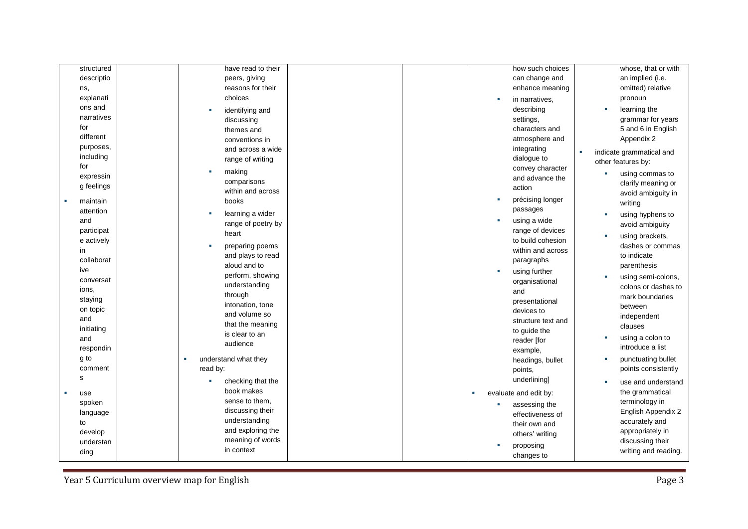| structured        | have read to their     |    | how such choices      |   | whose, that or with      |
|-------------------|------------------------|----|-----------------------|---|--------------------------|
| descriptio        | peers, giving          |    | can change and        |   | an implied (i.e.         |
|                   | reasons for their      |    | enhance meaning       |   | omitted) relative        |
| ns,<br>explanati  | choices                |    |                       |   | pronoun                  |
|                   |                        |    | in narratives,        |   |                          |
| ons and           | identifying and        |    | describing            | × | learning the             |
| narratives        | discussing             |    | settings,             |   | grammar for years        |
| for               | themes and             |    | characters and        |   | 5 and 6 in English       |
| different         | conventions in         |    | atmosphere and        |   | Appendix 2               |
| purposes,         | and across a wide      |    | integrating           | × | indicate grammatical and |
| including         | range of writing       |    | dialogue to           |   | other features by:       |
| for               | making                 |    | convey character      |   |                          |
| expressin         | comparisons            |    | and advance the       |   | using commas to          |
| g feelings        | within and across      |    | action                |   | clarify meaning or       |
|                   | books                  | ×. | précising longer      |   | avoid ambiguity in       |
| maintain          |                        |    | passages              |   | writing                  |
| attention         | learning a wider       |    |                       | п | using hyphens to         |
| and               | range of poetry by     |    | using a wide          |   | avoid ambiguity          |
| participat        | heart                  |    | range of devices      | п | using brackets,          |
| e actively        | preparing poems        |    | to build cohesion     |   | dashes or commas         |
| in                | and plays to read      |    | within and across     |   | to indicate              |
| collaborat        | aloud and to           |    | paragraphs            |   | parenthesis              |
| ive               | perform, showing       |    | using further         |   |                          |
| conversat         | understanding          |    | organisational        | × | using semi-colons,       |
| ions,             | through                |    | and                   |   | colons or dashes to      |
| staying           |                        |    | presentational        |   | mark boundaries          |
| on topic          | intonation, tone       |    | devices to            |   | between                  |
| and               | and volume so          |    | structure text and    |   | independent              |
| initiating        | that the meaning       |    | to guide the          |   | clauses                  |
| and               | is clear to an         |    | reader [for           | п | using a colon to         |
| respondin         | audience               |    | example,              |   | introduce a list         |
| g to              | understand what they   |    | headings, bullet      |   | punctuating bullet       |
| comment           | read by:               |    | points,               |   | points consistently      |
| s                 |                        |    |                       |   |                          |
|                   | checking that the<br>٠ |    | underlining]          | л | use and understand       |
| use<br><b>III</b> | book makes             |    | evaluate and edit by: |   | the grammatical          |
| spoken            | sense to them,         |    | assessing the         |   | terminology in           |
| language          | discussing their       |    | effectiveness of      |   | English Appendix 2       |
| to                | understanding          |    | their own and         |   | accurately and           |
| develop           | and exploring the      |    | others' writing       |   | appropriately in         |
| understan         | meaning of words       |    |                       |   | discussing their         |
| ding              | in context             |    | proposing             |   | writing and reading.     |
|                   |                        |    | changes to            |   |                          |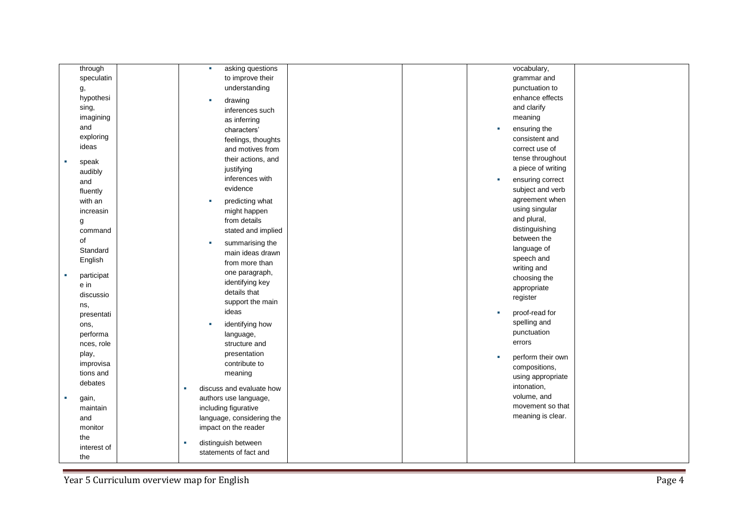| through     | asking questions<br>×      |  |           | vocabulary,        |  |
|-------------|----------------------------|--|-----------|--------------------|--|
| speculatin  | to improve their           |  |           | grammar and        |  |
| g,          | understanding              |  |           | punctuation to     |  |
| hypothesi   | drawing                    |  |           | enhance effects    |  |
| sing,       | inferences such            |  |           | and clarify        |  |
| imagining   | as inferring               |  |           | meaning            |  |
| and         | characters'                |  | ×         | ensuring the       |  |
| exploring   | feelings, thoughts         |  |           | consistent and     |  |
| ideas       |                            |  |           | correct use of     |  |
|             | and motives from           |  |           | tense throughout   |  |
| speak       | their actions, and         |  |           | a piece of writing |  |
| audibly     | justifying                 |  |           |                    |  |
| and         | inferences with            |  | <b>ST</b> | ensuring correct   |  |
| fluently    | evidence                   |  |           | subject and verb   |  |
| with an     | predicting what            |  |           | agreement when     |  |
| increasin   | might happen               |  |           | using singular     |  |
| g           | from details               |  |           | and plural,        |  |
| command     | stated and implied         |  |           | distinguishing     |  |
| of          | summarising the<br>×       |  |           | between the        |  |
| Standard    | main ideas drawn           |  |           | language of        |  |
| English     | from more than             |  |           | speech and         |  |
| participat  | one paragraph,             |  |           | writing and        |  |
| e in        | identifying key            |  |           | choosing the       |  |
| discussio   | details that               |  |           | appropriate        |  |
| ns,         | support the main           |  |           | register           |  |
| presentati  | ideas                      |  |           | proof-read for     |  |
| ons,        | identifying how<br>٠       |  |           | spelling and       |  |
| performa    |                            |  |           | punctuation        |  |
| nces, role  | language,<br>structure and |  |           | errors             |  |
| play,       | presentation               |  |           |                    |  |
| improvisa   | contribute to              |  |           | perform their own  |  |
| tions and   | meaning                    |  |           | compositions,      |  |
| debates     |                            |  |           | using appropriate  |  |
|             | discuss and evaluate how   |  |           | intonation,        |  |
| gain,       | authors use language,      |  |           | volume, and        |  |
| maintain    | including figurative       |  |           | movement so that   |  |
| and         | language, considering the  |  |           | meaning is clear.  |  |
| monitor     | impact on the reader       |  |           |                    |  |
| the         |                            |  |           |                    |  |
| interest of | distinguish between        |  |           |                    |  |
| the         | statements of fact and     |  |           |                    |  |

Year 5 Curriculum overview map for English Page